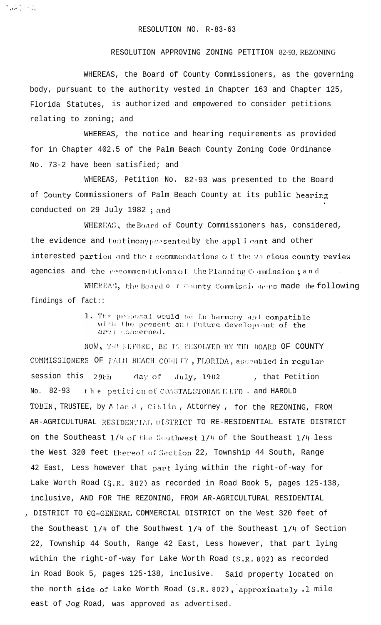بالأستقباض والمتعاونة

## RESOLUTION APPROVING ZONING PETITION 82-93, REZONING

WHEREAS, the Board of County Commissioners, as the governing body, pursuant to the authority vested in Chapter 163 and Chapter 125, Florida Statutes, is authorized and empowered to consider petitions relating to zoning; and

WHEREAS, the notice and hearing requirements as provided for in Chapter 402.5 of the Palm Beach County Zoning Code Ordinance No. 73-2 have been satisfied; and

WHEREAS, Petition No. 82-93 was presented to the Board of County Commissioners of Palm Beach County at its public hearing conducted on 29 July 1982; and

WHEREAS, the Board of County Commissioners has, considered, the evidence and testimony presented by the applicant and other interested parties and the mecommendations of the various county review agencies and the recommendations of the Planning Commission; and

WHEREAS, the Board o r County Commissioners made the following findings of fact::

> 1. The proposal would be in harmony and compatible with the present and future development of the are monoerned.

NOW, THE LEFORE, BE IT RESOLVED BY THE BOARD OF COUNTY COMMISSIONERS OF FALM BEACH COUNTY, FLORIDA, assembled in regular session this 29th  $\mathrm{day}$  of July, 1982 , that Petition No. 82-93 the petition of COASTALSTORAGE LTD. and HAROLD TOBIN, TRUSTEE, by Alan J, Ciklin, Attorney, for the REZONING, FROM AR-AGRICULTURAL RESIDENTIAL OISTRICT TO RE-RESIDENTIAL ESTATE DISTRICT on the Southeast 1/4 of the Southwest 1/4 of the Southeast 1/4 less the West 320 feet thereof of Section 22, Township 44 South, Range 42 East, Less however that part lying within the right-of-way for Lake Worth Road (S.R. 802) as recorded in Road Book 5, pages 125-138, inclusive, AND FOR THE REZONING, FROM AR-AGRICULTURAL RESIDENTIAL , DISTRICT TO CG-GENERAL COMMERCIAL DISTRICT on the West 320 feet of the Southeast 1/4 of the Southwest 1/4 of the Southeast 1/4 of Section 22, Township 44 South, Range 42 East, Less however, that part lying within the right-of-way for Lake Worth Road (S.R. 802) as recorded in Road Book 5, pages 125-138, inclusive. Said property located on the north side of Lake Worth Road (S.R. 802), approximately .1 mile east of Jog Road, was approved as advertised.